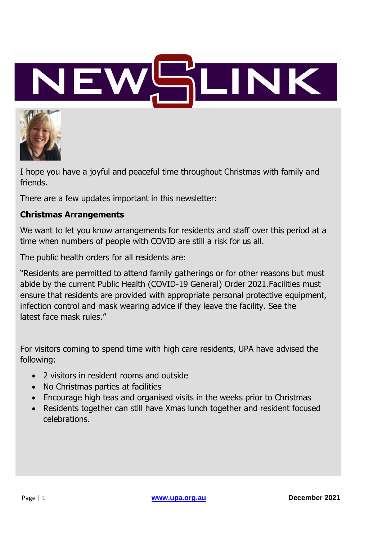



I hope you have a joyful and peaceful time throughout Christmas with family and friends.

There are a few updates important in this newsletter:

#### **Christmas Arrangements**

We want to let you know arrangements for residents and staff over this period at a time when numbers of people with COVID are still a risk for us all.

The public health orders for all residents are:

"Residents are permitted to attend family gatherings or for other reasons but must abide by the current [Public Health \(COVID-19 General\) Order 2021.](https://legislation.nsw.gov.au/file/Public%20Health%20%28COVID-19%20General%29%20Order%202021.pdf)Facilities must ensure that residents are provided with appropriate personal protective equipment, infection control and mask wearing advice if they leave the facility. See the latest [face mask rules](https://www.nsw.gov.au/covid-19/stay-safe/rules/face-mask-rules)."

For visitors coming to spend time with high care residents, UPA have advised the following:

- 2 visitors in resident rooms and outside
- No Christmas parties at facilities
- Encourage high teas and organised visits in the weeks prior to Christmas
- Residents together can still have Xmas lunch together and resident focused celebrations.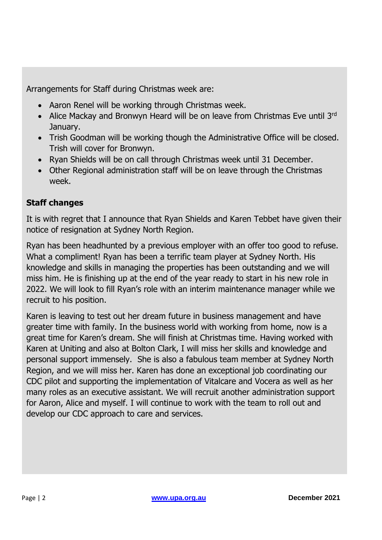Arrangements for Staff during Christmas week are:

- Aaron Renel will be working through Christmas week.
- Alice Mackay and Bronwyn Heard will be on leave from Christmas Eve until 3rd January.
- Trish Goodman will be working though the Administrative Office will be closed. Trish will cover for Bronwyn.
- Ryan Shields will be on call through Christmas week until 31 December.
- Other Regional administration staff will be on leave through the Christmas week.

#### **Staff changes**

It is with regret that I announce that Ryan Shields and Karen Tebbet have given their notice of resignation at Sydney North Region.

Ryan has been headhunted by a previous employer with an offer too good to refuse. What a compliment! Ryan has been a terrific team player at Sydney North. His knowledge and skills in managing the properties has been outstanding and we will miss him. He is finishing up at the end of the year ready to start in his new role in 2022. We will look to fill Ryan's role with an interim maintenance manager while we recruit to his position.

Karen is leaving to test out her dream future in business management and have greater time with family. In the business world with working from home, now is a great time for Karen's dream. She will finish at Christmas time. Having worked with Karen at Uniting and also at Bolton Clark, I will miss her skills and knowledge and personal support immensely. She is also a fabulous team member at Sydney North Region, and we will miss her. Karen has done an exceptional job coordinating our CDC pilot and supporting the implementation of Vitalcare and Vocera as well as her many roles as an executive assistant. We will recruit another administration support for Aaron, Alice and myself. I will continue to work with the team to roll out and develop our CDC approach to care and services.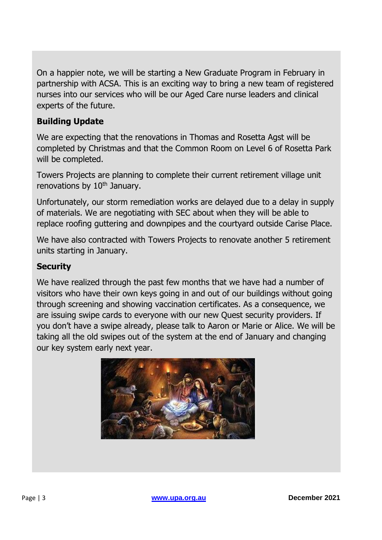On a happier note, we will be starting a New Graduate Program in February in partnership with ACSA. This is an exciting way to bring a new team of registered nurses into our services who will be our Aged Care nurse leaders and clinical experts of the future.

#### **Building Update**

We are expecting that the renovations in Thomas and Rosetta Agst will be completed by Christmas and that the Common Room on Level 6 of Rosetta Park will be completed.

Towers Projects are planning to complete their current retirement village unit renovations by 10<sup>th</sup> January.

Unfortunately, our storm remediation works are delayed due to a delay in supply of materials. We are negotiating with SEC about when they will be able to replace roofing guttering and downpipes and the courtyard outside Carise Place.

We have also contracted with Towers Projects to renovate another 5 retirement units starting in January.

#### **Security**

We have realized through the past few months that we have had a number of visitors who have their own keys going in and out of our buildings without going through screening and showing vaccination certificates. As a consequence, we are issuing swipe cards to everyone with our new Quest security providers. If you don't have a swipe already, please talk to Aaron or Marie or Alice. We will be taking all the old swipes out of the system at the end of January and changing our key system early next year.

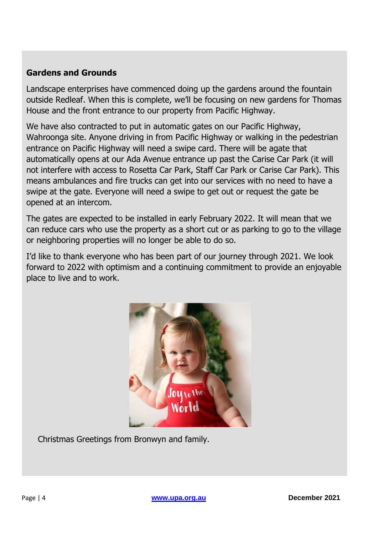#### **Gardens and Grounds**

Landscape enterprises have commenced doing up the gardens around the fountain outside Redleaf. When this is complete, we'll be focusing on new gardens for Thomas House and the front entrance to our property from Pacific Highway.

We have also contracted to put in automatic gates on our Pacific Highway, Wahroonga site. Anyone driving in from Pacific Highway or walking in the pedestrian entrance on Pacific Highway will need a swipe card. There will be agate that automatically opens at our Ada Avenue entrance up past the Carise Car Park (it will not interfere with access to Rosetta Car Park, Staff Car Park or Carise Car Park). This means ambulances and fire trucks can get into our services with no need to have a swipe at the gate. Everyone will need a swipe to get out or request the gate be opened at an intercom.

The gates are expected to be installed in early February 2022. It will mean that we can reduce cars who use the property as a short cut or as parking to go to the village or neighboring properties will no longer be able to do so.

I'd like to thank everyone who has been part of our journey through 2021. We look forward to 2022 with optimism and a continuing commitment to provide an enjoyable place to live and to work.



Christmas Greetings from Bronwyn and family.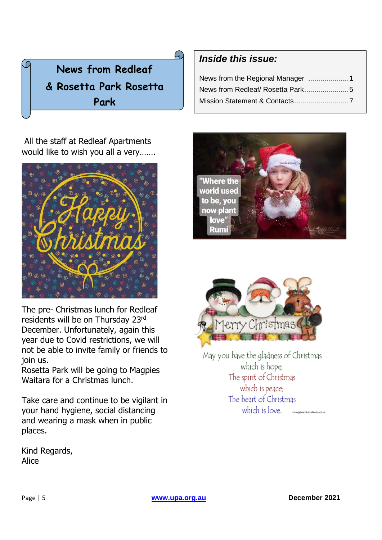**News from Redleaf & Rosetta Park Rosetta Park**

All the staff at Redleaf Apartments would like to wish you all a very…….



The pre- Christmas lunch for Redleaf residents will be on Thursday 23rd December. Unfortunately, again this year due to Covid restrictions, we will not be able to invite family or friends to join us.

Rosetta Park will be going to Magpies Waitara for a Christmas lunch.

Take care and continue to be vigilant in your hand hygiene, social distancing and wearing a mask when in public places.

Kind Regards, Alice

#### *Inside this issue:*

41





May you have the gladness of Christmas which is hope; The spirit of Christmas which is peace; The heart of Christmas  $which is love.$   $new<sub>year</sub>$ *newycarchristmascom*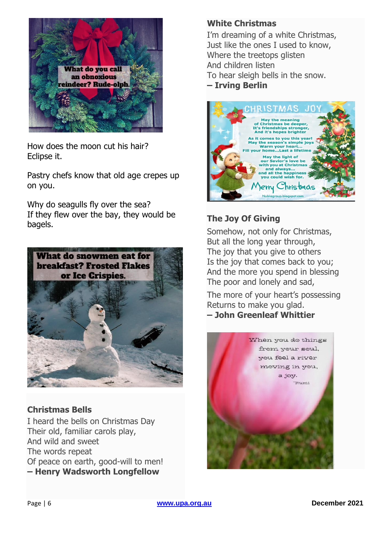

How does the moon cut his hair? Eclipse it.

Pastry chefs know that old age crepes up on you.

Why do seagulls fly over the sea? If they flew over the bay, they would be bagels.



#### **Christmas Bells**

I heard the bells on Christmas Day Their old, familiar carols play, And wild and sweet The words repeat Of peace on earth, good-will to men! **– Henry Wadsworth Longfellow**

#### **White Christmas**

I'm dreaming of a white Christmas, Just like the ones I used to know, Where the treetops glisten And children listen To hear sleigh bells in the snow. **– Irving Berlin**



#### **The Joy Of Giving**

Somehow, not only for Christmas, But all the long year through, The joy that you give to others Is the joy that comes back to you; And the more you spend in blessing The poor and lonely and sad,

The more of your heart's possessing Returns to make you glad.

**– John Greenleaf Whittier**